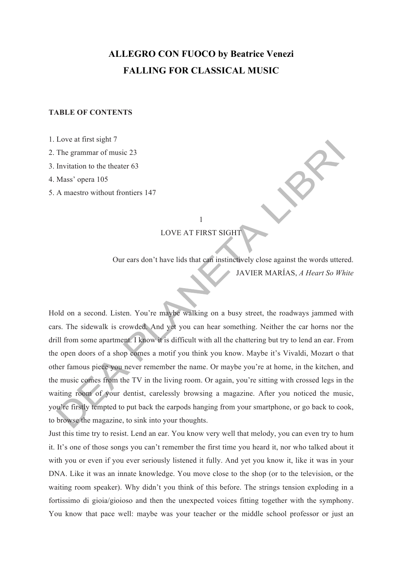## **ALLEGRO CON FUOCO by Beatrice Venezi FALLING FOR CLASSICAL MUSIC**

## **TABLE OF CONTENTS**

1. Love at first sight 7

2. The grammar of music 23

3. Invitation to the theater 63

4. Mass' opera 105

5. A maestro without frontiers 147

1

LOVE AT FIRST SIGHT

Our ears don't have lids that can instinctively close against the words uttered. JAVIER MARÍAS, *A Heart So White*

Hold on a second. Listen. You're maybe walking on a busy street, the roadways jammed with cars. The sidewalk is crowded. And yet you can hear something. Neither the car horns nor the drill from some apartment. I know it is difficult with all the chattering but try to lend an ear. From the open doors of a shop comes a motif you think you know. Maybe it's Vivaldi, Mozart o that other famous piece you never remember the name. Or maybe you're at home, in the kitchen, and the music comes from the TV in the living room. Or again, you're sitting with crossed legs in the waiting room of your dentist, carelessly browsing a magazine. After you noticed the music, you're firstly tempted to put back the earpods hanging from your smartphone, or go back to cook, to browse the magazine, to sink into your thoughts.

Just this time try to resist. Lend an ear. You know very well that melody, you can even try to hum it. It's one of those songs you can't remember the first time you heard it, nor who talked about it with you or even if you ever seriously listened it fully. And yet you know it, like it was in your DNA. Like it was an innate knowledge. You move close to the shop (or to the television, or the waiting room speaker). Why didn't you think of this before. The strings tension exploding in a fortissimo di gioia/gioioso and then the unexpected voices fitting together with the symphony. You know that pace well: maybe was your teacher or the middle school professor or just an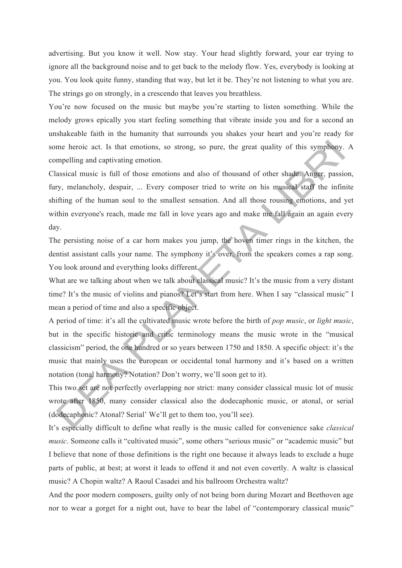advertising. But you know it well. Now stay. Your head slightly forward, your ear trying to ignore all the background noise and to get back to the melody flow. Yes, everybody is looking at you. You look quite funny, standing that way, but let it be. They're not listening to what you are. The strings go on strongly, in a crescendo that leaves you breathless.

You're now focused on the music but maybe you're starting to listen something. While the melody grows epically you start feeling something that vibrate inside you and for a second an unshakeable faith in the humanity that surrounds you shakes your heart and you're ready for some heroic act. Is that emotions, so strong, so pure, the great quality of this symphony. A compelling and captivating emotion.

Classical music is full of those emotions and also of thousand of other shade. Anger, passion, fury, melancholy, despair, ... Every composer tried to write on his musical staff the infinite shifting of the human soul to the smallest sensation. And all those rousing emotions, and yet within everyone's reach, made me fall in love years ago and make me fall again an again every day.

The persisting noise of a car horn makes you jump, the hoven timer rings in the kitchen, the dentist assistant calls your name. The symphony it's over, from the speakers comes a rap song. You look around and everything looks different.

What are we talking about when we talk about classical music? It's the music from a very distant time? It's the music of violins and pianos? Let's start from here. When I say "classical music" I mean a period of time and also a specific object.

A period of time: it's all the cultivated music wrote before the birth of *pop music*, or *light music*, but in the specific historic and critic terminology means the music wrote in the "musical classicism" period, the one hundred or so years between 1750 and 1850. A specific object: it's the music that mainly uses the european or occidental tonal harmony and it's based on a written notation (tonal harmony? Notation? Don't worry, we'll soon get to it).

This two set are not perfectly overlapping nor strict: many consider classical music lot of music wrote after 1850, many consider classical also the dodecaphonic music, or atonal, or serial (dodecaphonic? Atonal? Serial' We'll get to them too, you'll see).

It's especially difficult to define what really is the music called for convenience sake *classical music*. Someone calls it "cultivated music", some others "serious music" or "academic music" but I believe that none of those definitions is the right one because it always leads to exclude a huge parts of public, at best; at worst it leads to offend it and not even covertly. A waltz is classical music? A Chopin waltz? A Raoul Casadei and his ballroom Orchestra waltz?

And the poor modern composers, guilty only of not being born during Mozart and Beethoven age nor to wear a gorget for a night out, have to bear the label of "contemporary classical music"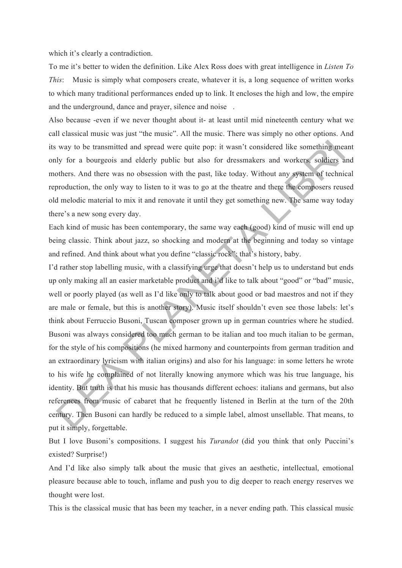which it's clearly a contradiction.

To me it's better to widen the definition. Like Alex Ross does with great intelligence in *Listen To This*: Music is simply what composers create, whatever it is, a long sequence of written works to which many traditional performances ended up to link. It encloses the high and low, the empire and the underground, dance and prayer, silence and noise.

Also because -even if we never thought about it- at least until mid nineteenth century what we call classical music was just "the music". All the music. There was simply no other options. And its way to be transmitted and spread were quite pop: it wasn't considered like something meant only for a bourgeois and elderly public but also for dressmakers and workers, soldiers and mothers. And there was no obsession with the past, like today. Without any system of technical reproduction, the only way to listen to it was to go at the theatre and there the composers reused old melodic material to mix it and renovate it until they get something new. The same way today there's a new song every day.

Each kind of music has been contemporary, the same way each (good) kind of music will end up being classic. Think about jazz, so shocking and modern at the beginning and today so vintage and refined. And think about what you define "classic rock": that's history, baby.

I'd rather stop labelling music, with a classifying urge that doesn't help us to understand but ends up only making all an easier marketable product and i'd like to talk about "good" or "bad" music, well or poorly played (as well as I'd like only to talk about good or bad maestros and not if they are male or female, but this is another story). Music itself shouldn't even see those labels: let's think about Ferruccio Busoni, Tuscan composer grown up in german countries where he studied. Busoni was always considered too much german to be italian and too much italian to be german, for the style of his compositions (he mixed harmony and counterpoints from german tradition and an extraordinary lyricism with italian origins) and also for his language: in some letters he wrote to his wife he complained of not literally knowing anymore which was his true language, his identity. But truth is that his music has thousands different echoes: italians and germans, but also references from music of cabaret that he frequently listened in Berlin at the turn of the 20th century. Then Busoni can hardly be reduced to a simple label, almost unsellable. That means, to put it simply, forgettable.

But I love Busoni's compositions. I suggest his *Turandot* (did you think that only Puccini's existed? Surprise!)

And I'd like also simply talk about the music that gives an aesthetic, intellectual, emotional pleasure because able to touch, inflame and push you to dig deeper to reach energy reserves we thought were lost.

This is the classical music that has been my teacher, in a never ending path. This classical music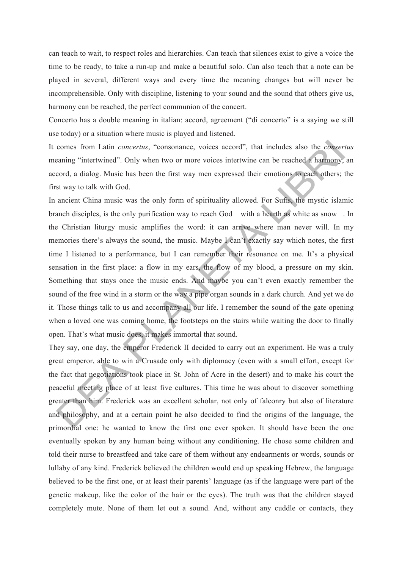can teach to wait, to respect roles and hierarchies. Can teach that silences exist to give a voice the time to be ready, to take a run-up and make a beautiful solo. Can also teach that a note can be played in several, different ways and every time the meaning changes but will never be incomprehensible. Only with discipline, listening to your sound and the sound that others give us, harmony can be reached, the perfect communion of the concert.

Concerto has a double meaning in italian: accord, agreement ("di concerto" is a saying we still use today) or a situation where music is played and listened.

It comes from Latin *concertus*, "consonance, voices accord", that includes also the *consertus* meaning "intertwined". Only when two or more voices intertwine can be reached a harmony, an accord, a dialog. Music has been the first way men expressed their emotions to each others; the first way to talk with God.

In ancient China music was the only form of spirituality allowed. For Sufis, the mystic islamic branch disciples, is the only purification way to reach God with a hearth as white as snow. In the Christian liturgy music amplifies the word: it can arrive where man never will. In my memories there's always the sound, the music. Maybe I can't exactly say which notes, the first time I listened to a performance, but I can remember their resonance on me. It's a physical sensation in the first place: a flow in my ears, the flow of my blood, a pressure on my skin. Something that stays once the music ends. And maybe you can't even exactly remember the sound of the free wind in a storm or the way a pipe organ sounds in a dark church. And yet we do it. Those things talk to us and accompany all our life. I remember the sound of the gate opening when a loved one was coming home, the footsteps on the stairs while waiting the door to finally open. That's what music does, it makes immortal that sound.

They say, one day, the emperor Frederick II decided to carry out an experiment. He was a truly great emperor, able to win a Crusade only with diplomacy (even with a small effort, except for the fact that negotiations took place in St. John of Acre in the desert) and to make his court the peaceful meeting place of at least five cultures. This time he was about to discover something greater than him. Frederick was an excellent scholar, not only of falconry but also of literature and philosophy, and at a certain point he also decided to find the origins of the language, the primordial one: he wanted to know the first one ever spoken. It should have been the one eventually spoken by any human being without any conditioning. He chose some children and told their nurse to breastfeed and take care of them without any endearments or words, sounds or lullaby of any kind. Frederick believed the children would end up speaking Hebrew, the language believed to be the first one, or at least their parents' language (as if the language were part of the genetic makeup, like the color of the hair or the eyes). The truth was that the children stayed completely mute. None of them let out a sound. And, without any cuddle or contacts, they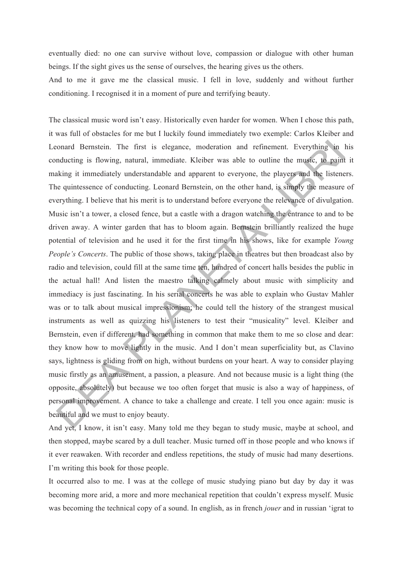eventually died: no one can survive without love, compassion or dialogue with other human beings. If the sight gives us the sense of ourselves, the hearing gives us the others.

And to me it gave me the classical music. I fell in love, suddenly and without further conditioning. I recognised it in a moment of pure and terrifying beauty.

The classical music word isn't easy. Historically even harder for women. When I chose this path, it was full of obstacles for me but I luckily found immediately two exemple: Carlos Kleiber and Leonard Bernstein. The first is elegance, moderation and refinement. Everything in his conducting is flowing, natural, immediate. Kleiber was able to outline the music, to paint it making it immediately understandable and apparent to everyone, the players and the listeners. The quintessence of conducting. Leonard Bernstein, on the other hand, is simply the measure of everything. I believe that his merit is to understand before everyone the relevance of divulgation. Music isn't a tower, a closed fence, but a castle with a dragon watching the entrance to and to be driven away. A winter garden that has to bloom again. Bernstein brilliantly realized the huge potential of television and he used it for the first time in his shows, like for example *Young People's Concerts*. The public of those shows, taking place in theatres but then broadcast also by radio and television, could fill at the same time ten, hundred of concert halls besides the public in the actual hall! And listen the maestro talking calmely about music with simplicity and immediacy is just fascinating. In his serial concerts he was able to explain who Gustav Mahler was or to talk about musical impressionism; he could tell the history of the strangest musical instruments as well as quizzing his listeners to test their "musicality" level. Kleiber and Bernstein, even if different, had something in common that make them to me so close and dear: they know how to move lightly in the music. And I don't mean superficiality but, as Clavino says, lightness is gliding from on high, without burdens on your heart. A way to consider playing music firstly as an amusement, a passion, a pleasure. And not because music is a light thing (the opposite, absolutely) but because we too often forget that music is also a way of happiness, of personal improvement. A chance to take a challenge and create. I tell you once again: music is beautiful and we must to enjoy beauty.

And yet, I know, it isn't easy. Many told me they began to study music, maybe at school, and then stopped, maybe scared by a dull teacher. Music turned off in those people and who knows if it ever reawaken. With recorder and endless repetitions, the study of music had many desertions. I'm writing this book for those people.

It occurred also to me. I was at the college of music studying piano but day by day it was becoming more arid, a more and more mechanical repetition that couldn't express myself. Music was becoming the technical copy of a sound. In english, as in french *jouer* and in russian 'igrat to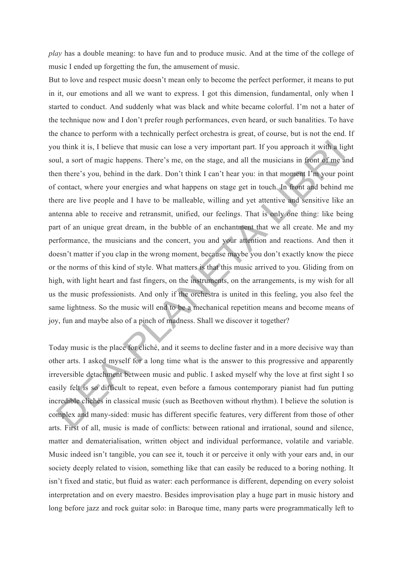*play* has a double meaning: to have fun and to produce music. And at the time of the college of music I ended up forgetting the fun, the amusement of music.

But to love and respect music doesn't mean only to become the perfect performer, it means to put in it, our emotions and all we want to express. I got this dimension, fundamental, only when I started to conduct. And suddenly what was black and white became colorful. I'm not a hater of the technique now and I don't prefer rough performances, even heard, or such banalities. To have the chance to perform with a technically perfect orchestra is great, of course, but is not the end. If you think it is, I believe that music can lose a very important part. If you approach it with a light soul, a sort of magic happens. There's me, on the stage, and all the musicians in front of me and then there's you, behind in the dark. Don't think I can't hear you: in that moment I'm your point of contact, where your energies and what happens on stage get in touch. In front and behind me there are live people and I have to be malleable, willing and yet attentive and sensitive like an antenna able to receive and retransmit, unified, our feelings. That is only one thing: like being part of an unique great dream, in the bubble of an enchantment that we all create. Me and my performance, the musicians and the concert, you and your attention and reactions. And then it doesn't matter if you clap in the wrong moment, because maybe you don't exactly know the piece or the norms of this kind of style. What matters is that this music arrived to you. Gliding from on high, with light heart and fast fingers, on the instruments, on the arrangements, is my wish for all us the music professionists. And only if the orchestra is united in this feeling, you also feel the same lightness. So the music will end to be a mechanical repetition means and become means of joy, fun and maybe also of a pinch of madness. Shall we discover it together?

Today music is the place for cliché, and it seems to decline faster and in a more decisive way than other arts. I asked myself for a long time what is the answer to this progressive and apparently irreversible detachment between music and public. I asked myself why the love at first sight I so easily felt is so difficult to repeat, even before a famous contemporary pianist had fun putting incredible clichés in classical music (such as Beethoven without rhythm). I believe the solution is complex and many-sided: music has different specific features, very different from those of other arts. First of all, music is made of conflicts: between rational and irrational, sound and silence, matter and dematerialisation, written object and individual performance, volatile and variable. Music indeed isn't tangible, you can see it, touch it or perceive it only with your ears and, in our society deeply related to vision, something like that can easily be reduced to a boring nothing. It isn't fixed and static, but fluid as water: each performance is different, depending on every soloist interpretation and on every maestro. Besides improvisation play a huge part in music history and long before jazz and rock guitar solo: in Baroque time, many parts were programmatically left to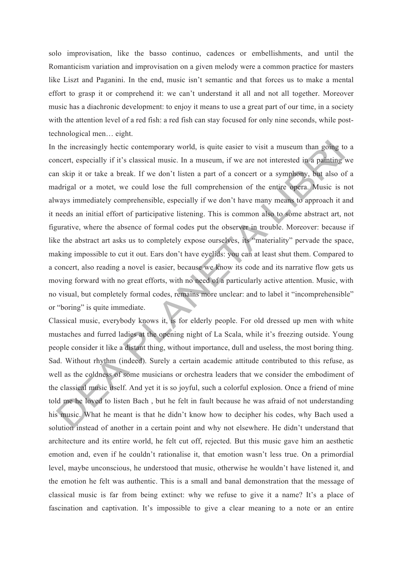solo improvisation, like the basso continuo, cadences or embellishments, and until the Romanticism variation and improvisation on a given melody were a common practice for masters like Liszt and Paganini. In the end, music isn't semantic and that forces us to make a mental effort to grasp it or comprehend it: we can't understand it all and not all together. Moreover music has a diachronic development: to enjoy it means to use a great part of our time, in a society with the attention level of a red fish: a red fish can stay focused for only nine seconds, while posttechnological men… eight.

In the increasingly hectic contemporary world, is quite easier to visit a museum than going to a concert, especially if it's classical music. In a museum, if we are not interested in a painting we can skip it or take a break. If we don't listen a part of a concert or a symphony, but also of a madrigal or a motet, we could lose the full comprehension of the entire opera. Music is not always immediately comprehensible, especially if we don't have many means to approach it and it needs an initial effort of participative listening. This is common also to some abstract art, not figurative, where the absence of formal codes put the observer in trouble. Moreover: because if like the abstract art asks us to completely expose ourselves, its "materiality" pervade the space, making impossible to cut it out. Ears don't have eyelids: you can at least shut them. Compared to a concert, also reading a novel is easier, because we know its code and its narrative flow gets us moving forward with no great efforts, with no need of a particularly active attention. Music, with no visual, but completely formal codes, remains more unclear: and to label it "incomprehensible" or "boring" is quite immediate.

Classical music, everybody knows it, is for elderly people. For old dressed up men with white mustaches and furred ladies at the opening night of La Scala, while it's freezing outside. Young people consider it like a distant thing, without importance, dull and useless, the most boring thing. Sad. Without rhythm (indeed). Surely a certain academic attitude contributed to this refuse, as well as the coldness of some musicians or orchestra leaders that we consider the embodiment of the classical music itself. And yet it is so joyful, such a colorful explosion. Once a friend of mine told me he loved to listen Bach , but he felt in fault because he was afraid of not understanding his music. What he meant is that he didn't know how to decipher his codes, why Bach used a solution instead of another in a certain point and why not elsewhere. He didn't understand that architecture and its entire world, he felt cut off, rejected. But this music gave him an aesthetic emotion and, even if he couldn't rationalise it, that emotion wasn't less true. On a primordial level, maybe unconscious, he understood that music, otherwise he wouldn't have listened it, and the emotion he felt was authentic. This is a small and banal demonstration that the message of classical music is far from being extinct: why we refuse to give it a name? It's a place of fascination and captivation. It's impossible to give a clear meaning to a note or an entire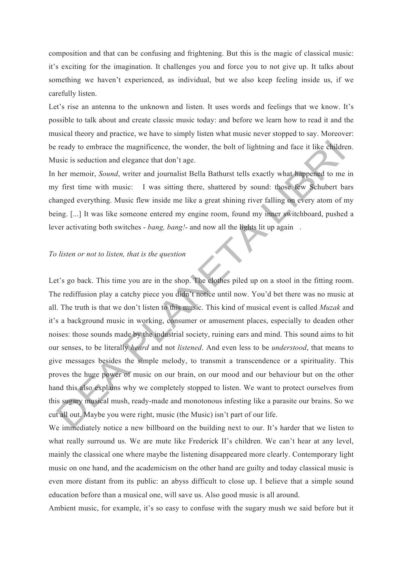composition and that can be confusing and frightening. But this is the magic of classical music: it's exciting for the imagination. It challenges you and force you to not give up. It talks about something we haven't experienced, as individual, but we also keep feeling inside us, if we carefully listen.

Let's rise an antenna to the unknown and listen. It uses words and feelings that we know. It's possible to talk about and create classic music today: and before we learn how to read it and the musical theory and practice, we have to simply listen what music never stopped to say. Moreover: be ready to embrace the magnificence, the wonder, the bolt of lightning and face it like children. Music is seduction and elegance that don't age.

In her memoir, *Sound*, writer and journalist Bella Bathurst tells exactly what happened to me in my first time with music: I was sitting there, shattered by sound: those few Schubert bars changed everything. Music flew inside me like a great shining river falling on every atom of my being. [...] It was like someone entered my engine room, found my inner switchboard, pushed a lever activating both switches - *bang, bang!*- and now all the lights lit up again.

## *To listen or not to listen, that is the question*

Let's go back. This time you are in the shop. The clothes piled up on a stool in the fitting room. The rediffusion play a catchy piece you didn't notice until now. You'd bet there was no music at all. The truth is that we don't listen to this music. This kind of musical event is called *Muzak* and it's a background music in working, consumer or amusement places, especially to deaden other noises: those sounds made by the industrial society, ruining ears and mind. This sound aims to hit our senses, to be literally *heard* and not *listened*. And even less to be *understood*, that means to give messages besides the simple melody, to transmit a transcendence or a spirituality. This proves the huge power of music on our brain, on our mood and our behaviour but on the other hand this also explains why we completely stopped to listen. We want to protect ourselves from this sugary musical mush, ready-made and monotonous infesting like a parasite our brains. So we cut all out. Maybe you were right, music (the Music) isn't part of our life.

We immediately notice a new billboard on the building next to our. It's harder that we listen to what really surround us. We are mute like Frederick II's children. We can't hear at any level, mainly the classical one where maybe the listening disappeared more clearly. Contemporary light music on one hand, and the academicism on the other hand are guilty and today classical music is even more distant from its public: an abyss difficult to close up. I believe that a simple sound education before than a musical one, will save us. Also good music is all around.

Ambient music, for example, it's so easy to confuse with the sugary mush we said before but it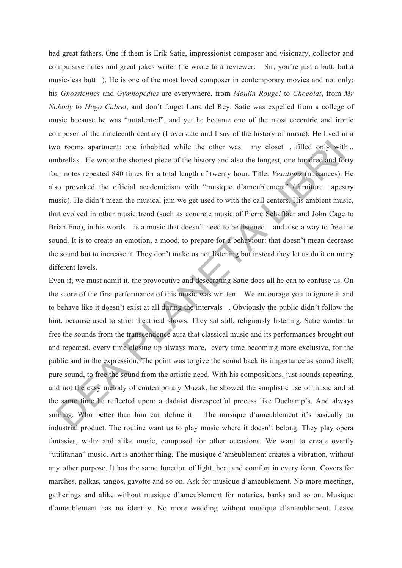had great fathers. One if them is Erik Satie, impressionist composer and visionary, collector and compulsive notes and great jokes writer (he wrote to a reviewer: Sir, you're just a butt, but a music-less butt). He is one of the most loved composer in contemporary movies and not only: his *Gnossiennes* and *Gymnopedies* are everywhere, from *Moulin Rouge!* to *Chocolat*, from *Mr Nobody* to *Hugo Cabret*, and don't forget Lana del Rey. Satie was expelled from a college of music because he was "untalented", and yet he became one of the most eccentric and ironic composer of the nineteenth century (I overstate and I say of the history of music). He lived in a two rooms apartment: one inhabited while the other was my closet, filled only with... umbrellas. He wrote the shortest piece of the history and also the longest, one hundred and forty four notes repeated 840 times for a total length of twenty hour. Title: *Vexations* (nuisances). He also provoked the official academicism with "musique d'ameublement" (furniture, tapestry music). He didn't mean the musical jam we get used to with the call centers. His ambient music, that evolved in other music trend (such as concrete music of Pierre Schaffaer and John Cage to Brian Eno), in his words is a music that doesn't need to be listened and also a way to free the sound. It is to create an emotion, a mood, to prepare for a behaviour; that doesn't mean decrease the sound but to increase it. They don't make us not listening but instead they let us do it on many different levels.

Even if, we must admit it, the provocative and desecrating Satie does all he can to confuse us. On the score of the first performance of this music was written We encourage you to ignore it and to behave like it doesn't exist at all during the intervals. Obviously the public didn't follow the hint, because used to strict theatrical shows. They sat still, religiously listening. Satie wanted to free the sounds from the transcendence aura that classical music and its performances brought out and repeated, every time closing up always more, every time becoming more exclusive, for the public and in the expression. The point was to give the sound back its importance as sound itself, pure sound, to free the sound from the artistic need. With his compositions, just sounds repeating, and not the easy melody of contemporary Muzak, he showed the simplistic use of music and at the same time he reflected upon: a dadaist disrespectful process like Duchamp's. And always smiling. Who better than him can define it: The musique d'ameublement it's basically an industrial product. The routine want us to play music where it doesn't belong. They play opera fantasies, waltz and alike music, composed for other occasions. We want to create overtly "utilitarian" music. Art is another thing. The musique d'ameublement creates a vibration, without any other purpose. It has the same function of light, heat and comfort in every form. Covers for marches, polkas, tangos, gavotte and so on. Ask for musique d'ameublement. No more meetings, gatherings and alike without musique d'ameublement for notaries, banks and so on. Musique d'ameublement has no identity. No more wedding without musique d'ameublement. Leave